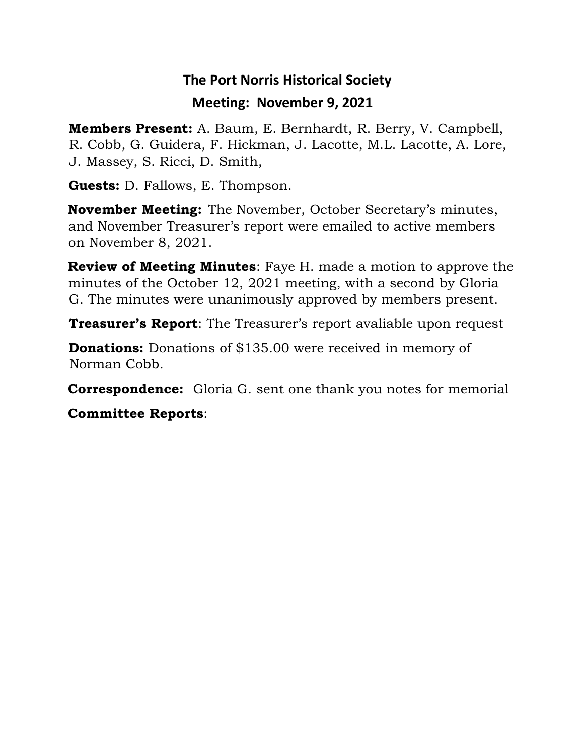## **The Port Norris Historical Society Meeting: November 9, 2021**

**Members Present:** A. Baum, E. Bernhardt, R. Berry, V. Campbell, R. Cobb, G. Guidera, F. Hickman, J. Lacotte, M.L. Lacotte, A. Lore, J. Massey, S. Ricci, D. Smith,

**Guests:** D. Fallows, E. Thompson.

**November Meeting:** The November, October Secretary's minutes, and November Treasurer's report were emailed to active members on November 8, 2021.

**Review of Meeting Minutes**: Faye H. made a motion to approve the minutes of the October 12, 2021 meeting, with a second by Gloria G. The minutes were unanimously approved by members present.

**Treasurer's Report**: The Treasurer's report avaliable upon request

**Donations:** Donations of \$135.00 were received in memory of Norman Cobb.

**Correspondence:** Gloria G. sent one thank you notes for memorial

**Committee Reports**: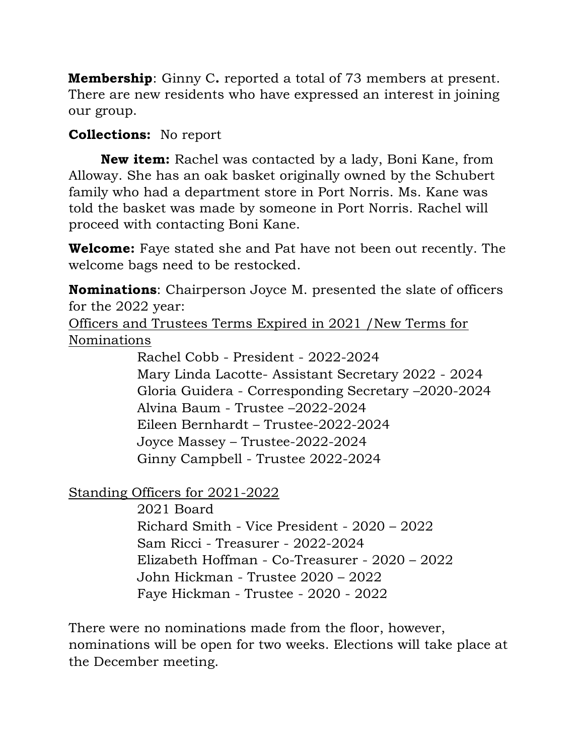**Membership**: Ginny C**.** reported a total of 73 members at present. There are new residents who have expressed an interest in joining our group.

## **Collections:** No report

 **New item:** Rachel was contacted by a lady, Boni Kane, from Alloway. She has an oak basket originally owned by the Schubert family who had a department store in Port Norris. Ms. Kane was told the basket was made by someone in Port Norris. Rachel will proceed with contacting Boni Kane.

**Welcome:** Faye stated she and Pat have not been out recently. The welcome bags need to be restocked.

**Nominations**: Chairperson Joyce M. presented the slate of officers for the 2022 year:

Officers and Trustees Terms Expired in 2021 /New Terms for Nominations

> Rachel Cobb - President - 2022-2024 Mary Linda Lacotte- Assistant Secretary 2022 - 2024 Gloria Guidera - Corresponding Secretary –2020-2024 Alvina Baum - Trustee –2022-2024 Eileen Bernhardt – Trustee-2022-2024 Joyce Massey – Trustee-2022-2024 Ginny Campbell - Trustee 2022-2024

Standing Officers for 2021-2022

 2021 Board Richard Smith - Vice President - 2020 – 2022 Sam Ricci - Treasurer - 2022-2024 Elizabeth Hoffman - Co-Treasurer - 2020 – 2022 John Hickman - Trustee 2020 – 2022 Faye Hickman - Trustee - 2020 - 2022

There were no nominations made from the floor, however, nominations will be open for two weeks. Elections will take place at the December meeting.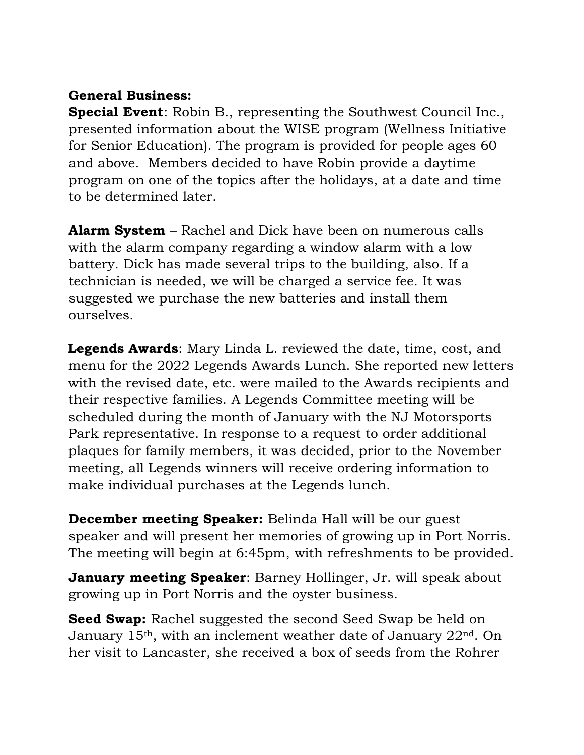## **General Business:**

**Special Event**: Robin B., representing the Southwest Council Inc., presented information about the WISE program (Wellness Initiative for Senior Education). The program is provided for people ages 60 and above. Members decided to have Robin provide a daytime program on one of the topics after the holidays, at a date and time to be determined later.

**Alarm System** – Rachel and Dick have been on numerous calls with the alarm company regarding a window alarm with a low battery. Dick has made several trips to the building, also. If a technician is needed, we will be charged a service fee. It was suggested we purchase the new batteries and install them ourselves.

**Legends Awards**: Mary Linda L. reviewed the date, time, cost, and menu for the 2022 Legends Awards Lunch. She reported new letters with the revised date, etc. were mailed to the Awards recipients and their respective families. A Legends Committee meeting will be scheduled during the month of January with the NJ Motorsports Park representative. In response to a request to order additional plaques for family members, it was decided, prior to the November meeting, all Legends winners will receive ordering information to make individual purchases at the Legends lunch.

**December meeting Speaker:** Belinda Hall will be our guest speaker and will present her memories of growing up in Port Norris. The meeting will begin at 6:45pm, with refreshments to be provided.

**January meeting Speaker**: Barney Hollinger, Jr. will speak about growing up in Port Norris and the oyster business.

**Seed Swap:** Rachel suggested the second Seed Swap be held on January 15th, with an inclement weather date of January 22nd. On her visit to Lancaster, she received a box of seeds from the Rohrer